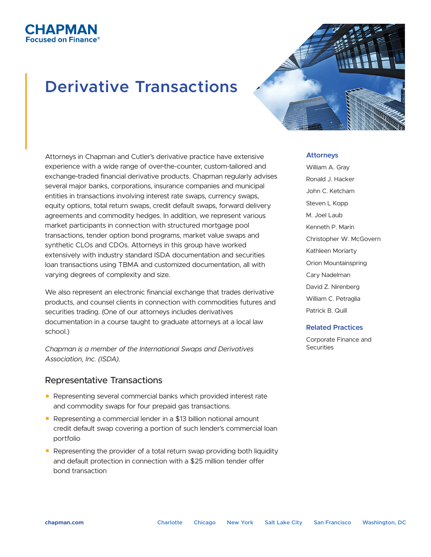## **Derivative Transactions**

СНАРМАН ®An Finance



Attorneys in Chapman and Cutler's derivative practice have extensive experience with a wide range of over-the-counter, custom-tailored and exchange-traded financial derivative products. Chapman regularly advises several major banks, corporations, insurance companies and municipal entities in transactions involving interest rate swaps, currency swaps, equity options, total return swaps, credit default swaps, forward delivery agreements and commodity hedges. In addition, we represent various market participants in connection with structured mortgage pool transactions, tender option bond programs, market value swaps and synthetic CLOs and CDOs. Attorneys in this group have worked extensively with industry standard ISDA documentation and securities loan transactions using TBMA and customized documentation, all with varying degrees of complexity and size.

We also represent an electronic financial exchange that trades derivative products, and counsel clients in connection with commodities futures and securities trading. (One of our attorneys includes derivatives documentation in a course taught to graduate attorneys at a local law school.)

*Chapman is a member of the International Swaps and Derivatives Association, Inc. (ISDA).*

## Representative Transactions

- Representing several commercial banks which provided interest rate and commodity swaps for four prepaid gas transactions.
- Representing a commercial lender in a \$13 billion notional amount credit default swap covering a portion of such lender's commercial loan portfolio
- Representing the provider of a total return swap providing both liquidity and default protection in connection with a \$25 million tender offer bond transaction

## **Attorneys**

William A. Gray Ronald J. Hacker John C. Ketcham Steven L Kopp M. Joel Laub Kenneth P. Marin Christopher W. McGovern Kathleen Moriarty Orion Mountainspring Cary Nadelman David Z. Nirenberg William C. Petraglia Patrick B. Quill

## **Related Practices**

Corporate Finance and **Securities**